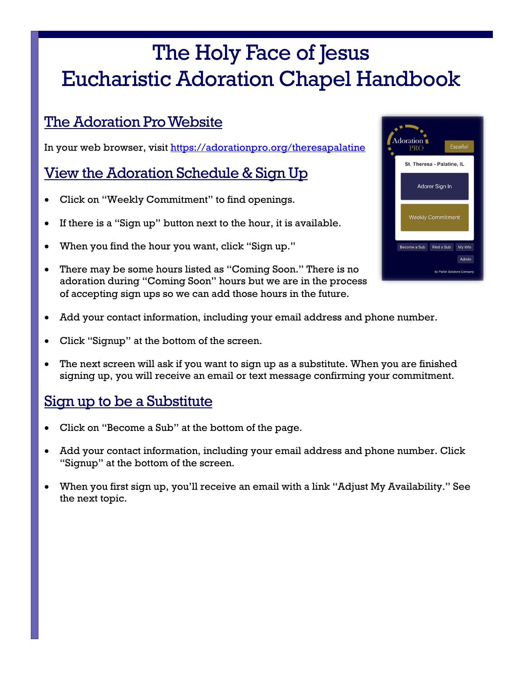# The Holy Face of Jesus Eucharistic Adoration Chapel Handbook

## The Adoration Pro Website

In your web browser, visit <https://adorationpro.org/theresapalatine>

## View the Adoration Schedule & Sign Up

- Click on "Weekly Commitment" to find openings.
- If there is a "Sign up" button next to the hour, it is available.
- When you find the hour you want, click "Sign up."
- There may be some hours listed as "Coming Soon." There is no adoration during "Coming Soon" hours but we are in the process of accepting sign ups so we can add those hours in the future.



- Add your contact information, including your email address and phone number.
- Click "Signup" at the bottom of the screen.
- The next screen will ask if you want to sign up as a substitute. When you are finished signing up, you will receive an email or text message confirming your commitment.

## Sign up to be a Substitute

- Click on "Become a Sub" at the bottom of the page.
- Add your contact information, including your email address and phone number. Click "Signup" at the bottom of the screen.
- When you first sign up, you'll receive an email with a link "Adjust My Availability." See the next topic.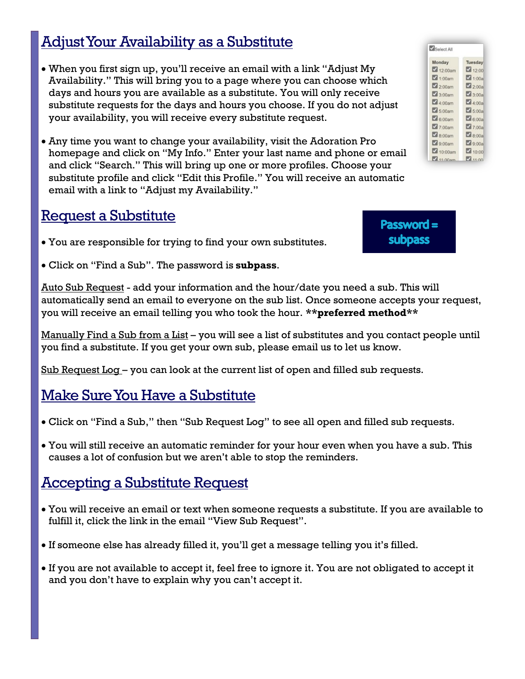# Adjust Your Availability as a Substitute

- When you first sign up, you'll receive an email with a link "Adjust My Availability." This will bring you to a page where you can choose which days and hours you are available as a substitute. You will only receive substitute requests for the days and hours you choose. If you do not adjust your availability, you will receive every substitute request.
- Any time you want to change your availability, visit the Adoration Pro homepage and click on "My Info." Enter your last name and phone or email and click "Search." This will bring up one or more profiles. Choose your substitute profile and click "Edit this Profile." You will receive an automatic email with a link to "Adjust my Availability."

### Request a Substitute

- You are responsible for trying to find your own substitutes.
- Click on "Find a Sub". The password is **subpass**.

Auto Sub Request - add your information and the hour/date you need a sub. This will automatically send an email to everyone on the sub list. Once someone accepts your request, you will receive an email telling you who took the hour. **\*\*preferred method\*\***

Manually Find a Sub from a List – you will see a list of substitutes and you contact people until you find a substitute. If you get your own sub, please email us to let us know.

Sub Request Log – you can look at the current list of open and filled sub requests.

## Make Sure You Have a Substitute

- Click on "Find a Sub," then "Sub Request Log" to see all open and filled sub requests.
- You will still receive an automatic reminder for your hour even when you have a sub. This causes a lot of confusion but we aren't able to stop the reminders.

## Accepting a Substitute Request

- You will receive an email or text when someone requests a substitute. If you are available to fulfill it, click the link in the email "View Sub Request".
- If someone else has already filled it, you'll get a message telling you it's filled.
- If you are not available to accept it, feel free to ignore it. You are not obligated to accept it and you don't have to explain why you can't accept it.

| Select All           |                       |
|----------------------|-----------------------|
| Monday               | Tuesday               |
| 12:00am              | 12:00                 |
| 1:00am               | 1:00a                 |
| 2:00am               | 2:00a                 |
| $\frac{1}{2}$ 3:00am | $\sqrt{3:00a}$        |
| $\Box$ 4:00am        | 4:00a                 |
| 5:00am               | $\Box$ 5:00a          |
| $\Box$ 6:00am        | $\mathcal{L}_{6:00a}$ |
| 7:00am               | 7:00a                 |
| <b>2</b> 8:00am      | 28:00a                |
| <b>2</b> 9:00am      | 9:00a                 |
| 10:00am              | 10:00                 |
| 11-00am              | 211.00                |

Password = **subpass**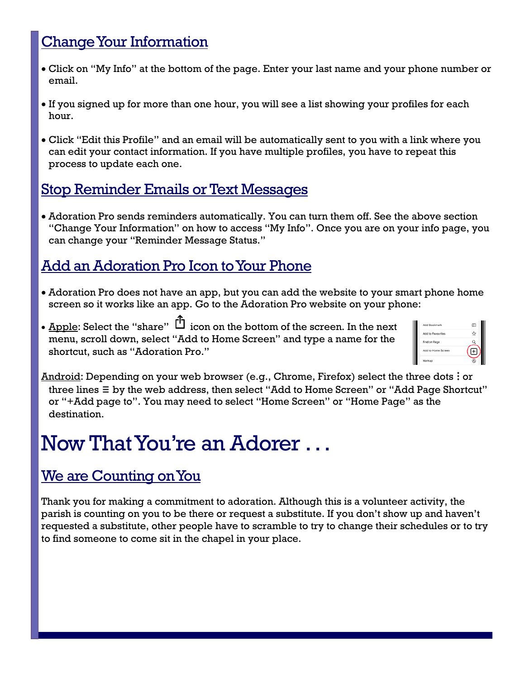# Change Your Information

- Click on "My Info" at the bottom of the page. Enter your last name and your phone number or email.
- If you signed up for more than one hour, you will see a list showing your profiles for each hour.
- Click "Edit this Profile" and an email will be automatically sent to you with a link where you can edit your contact information. If you have multiple profiles, you have to repeat this process to update each one.

#### Stop Reminder Emails or Text Messages

• Adoration Pro sends reminders automatically. You can turn them off. See the above section "Change Your Information" on how to access "My Info". Once you are on your info page, you can change your "Reminder Message Status."

## Add an Adoration Pro Icon to Your Phone

- Adoration Pro does not have an app, but you can add the website to your smart phone home screen so it works like an app. Go to the Adoration Pro website on your phone:
- Apple: Select the "share"  $\Box$  icon on the bottom of the screen. In the next menu, scroll down, select "Add to Home Screen" and type a name for the shortcut, such as "Adoration Pro."

| Add Bookmark        | m |
|---------------------|---|
| Add to Favourites   |   |
| Find on Page        |   |
| Arid to Home Screen |   |
| Markup              |   |

Android: Depending on your web browser (e.g., Chrome, Firefox) select the three dots : or three lines **≡** by the web address, then select "Add to Home Screen" or "Add Page Shortcut" or "+Add page to". You may need to select "Home Screen" or "Home Page" as the destination.

# Now That You're an Adorer . . .

## We are Counting on You

Thank you for making a commitment to adoration. Although this is a volunteer activity, the parish is counting on you to be there or request a substitute. If you don't show up and haven't requested a substitute, other people have to scramble to try to change their schedules or to try to find someone to come sit in the chapel in your place.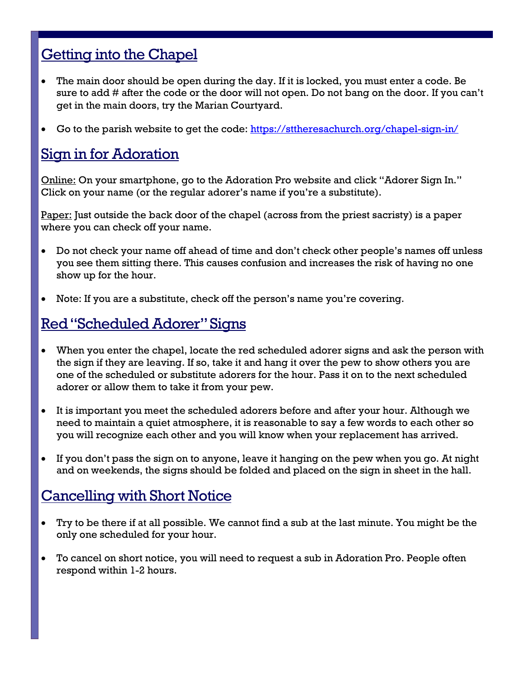### Getting into the Chapel

- The main door should be open during the day. If it is locked, you must enter a code. Be sure to add # after the code or the door will not open. Do not bang on the door. If you can't get in the main doors, try the Marian Courtyard.
- Go to the parish website to get the code:<https://sttheresachurch.org/chapel-sign-in/>

### Sign in for Adoration

Online: On your smartphone, go to the Adoration Pro website and click "Adorer Sign In." Click on your name (or the regular adorer's name if you're a substitute).

Paper: Just outside the back door of the chapel (across from the priest sacristy) is a paper where you can check off your name.

- Do not check your name off ahead of time and don't check other people's names off unless you see them sitting there. This causes confusion and increases the risk of having no one show up for the hour.
- Note: If you are a substitute, check off the person's name you're covering.

### Red "Scheduled Adorer" Signs

- When you enter the chapel, locate the red scheduled adorer signs and ask the person with the sign if they are leaving. If so, take it and hang it over the pew to show others you are one of the scheduled or substitute adorers for the hour. Pass it on to the next scheduled adorer or allow them to take it from your pew.
- It is important you meet the scheduled adorers before and after your hour. Although we need to maintain a quiet atmosphere, it is reasonable to say a few words to each other so you will recognize each other and you will know when your replacement has arrived.
- If you don't pass the sign on to anyone, leave it hanging on the pew when you go. At night and on weekends, the signs should be folded and placed on the sign in sheet in the hall.

### Cancelling with Short Notice

- Try to be there if at all possible. We cannot find a sub at the last minute. You might be the only one scheduled for your hour.
- To cancel on short notice, you will need to request a sub in Adoration Pro. People often respond within 1-2 hours.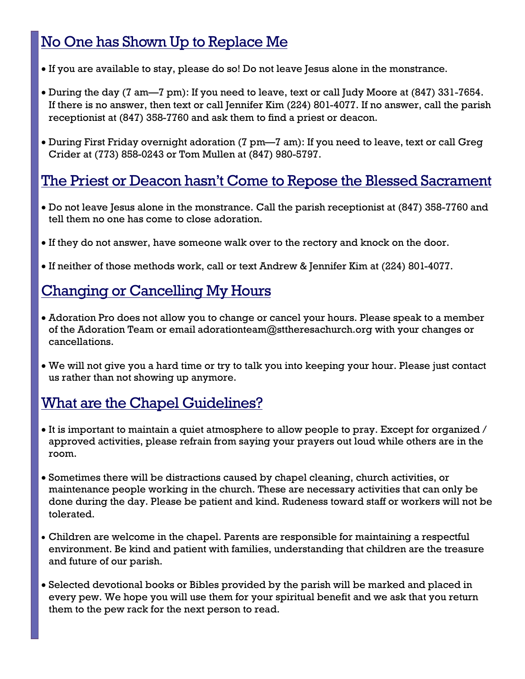# No One has Shown Up to Replace Me

- If you are available to stay, please do so! Do not leave Jesus alone in the monstrance.
- During the day (7 am—7 pm): If you need to leave, text or call Judy Moore at (847) 331-7654. If there is no answer, then text or call Jennifer Kim (224) 801-4077. If no answer, call the parish receptionist at (847) 358-7760 and ask them to find a priest or deacon.
- During First Friday overnight adoration (7 pm—7 am): If you need to leave, text or call Greg Crider at (773) 858-0243 or Tom Mullen at (847) 980-5797.

### The Priest or Deacon hasn't Come to Repose the Blessed Sacrament

- Do not leave Jesus alone in the monstrance. Call the parish receptionist at (847) 358-7760 and tell them no one has come to close adoration.
- If they do not answer, have someone walk over to the rectory and knock on the door.
- If neither of those methods work, call or text Andrew & Jennifer Kim at (224) 801-4077.

### Changing or Cancelling My Hours

- Adoration Pro does not allow you to change or cancel your hours. Please speak to a member of the Adoration Team or email adorationteam@sttheresachurch.org with your changes or cancellations.
- We will not give you a hard time or try to talk you into keeping your hour. Please just contact us rather than not showing up anymore.

### What are the Chapel Guidelines?

- It is important to maintain a quiet atmosphere to allow people to pray. Except for organized / approved activities, please refrain from saying your prayers out loud while others are in the room.
- Sometimes there will be distractions caused by chapel cleaning, church activities, or maintenance people working in the church. These are necessary activities that can only be done during the day. Please be patient and kind. Rudeness toward staff or workers will not be tolerated.
- Children are welcome in the chapel. Parents are responsible for maintaining a respectful environment. Be kind and patient with families, understanding that children are the treasure and future of our parish.
- Selected devotional books or Bibles provided by the parish will be marked and placed in every pew. We hope you will use them for your spiritual benefit and we ask that you return them to the pew rack for the next person to read.